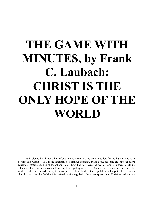# **THE GAME WITH MINUTES, by Frank C. Laubach: CHRIST IS THE ONLY HOPE OF THE WORLD**

"Disillusioned by all our other efforts, we now see that the only hope left for the human race is to become like Christ." That is the statement of a famous scientist, and is being repeated among even more educators, statesmen, and philosophers. Yet Christ has not saved the world from its present terrifying dilemma. The reason is obvious: Few people are getting enough of Christ to save either themselves or the world. Take the United States, for example. Only a third of the population belongs to the Christian church. Less than half of this third attend service regularly. Preachers speak about Christ in perhaps one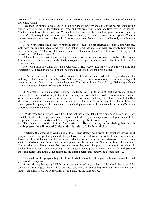service in four —thirty minutes a month! Good sermons, many of them excellent, but too infrequent in presenting Christ.

Less than ten minutes a week given to thinking about Christ by one-sixth of the people is not saving our country or our world; for selfishness, greed, and hate are getting a thousand times that much thought. What a nation thinks about, that it is. We shall not become like Christ until we give Him more time. A teachers' college requires students to attend classes for twenty-five hours a week for three years. Could it prepare competent teachers or a law school prepare competent lawyers if they studied only ten minutes a week?

Neither can Christ, and he never pretended that he could. To his disciples he said: "Come with me, walk with me, talk and listen to me, work and rest with me, eat and sleep with me, twenty-four hours a day for three years." That was their college courses—"He chose them," the Bible says, "that they might be with him," 168 hours a week!

All who have tried that kind of abiding for a month know the power of it—it is like being born again from center to circumference. It absolutely changes every person who does it. And it will change the world that does it.

How can a man or woman take this course with Christ today? The answer is so simple a child can understand it. Indeed unless we "turn and become like children" we shall not succeed.

1. We have a study hour.. We read and reread the life of Jesus recorded in the Gospels thoughtfully and prayerfully at least an hour a day. We find fresh ways and new translations, so that this reading will never be dull, but always stimulating and inspiring. Thus we walk with Jesus through Galilee by walking with Him through the pages of His earthly history.

2. We make Him our inseparable chum. We try to call Him to mind at least one second of each minute. We do not need to forget other things nor stop our work, but we invite Him to share everything we do or say or think. Hundreds of people have experimented until they have found ways to let Him share every minute that they are awake. In fact, it is no harder to learn this new habit than to learn the touch system in typing, and in time one can win a high percentage of his minutes with as little effort as an expert needs to write a letter.

'While these two practices take all our time, yet they do not take it from any good enterprise. They take Christ into that enterprise and make it more resultful. They also keep a man's religion steady. If the temperature of a sick man rises and falls daily the doctor regards him as seriously

ill. This is the case with religion. Not spiritual chills and fevers, but an abiding faith which gently presses the will toward Christ all day, is a sign of a healthy religion.

Practicing the presence of God is not on trial. It has already been proven by countless thousands of people. Indeed, the spiritual giants of all ages have known it. Christians who do it today become more fervent and beautiful and are tireless witnesses. Men and women who had been slaves of vices have been set free. Catholics and Protestants find this practicing the presence of God at the heart of their faith. Conservatives and liberals agree that here is a reality they need. People who are grateful for what this booklet has done for them are ordering wholesale quantities to give to friends. Letters from all parts of the world testify that in this game multitudes are turning defeat into victory and despair into joy.

The results of this program begin to show clearly In a month. They grow rich after six months, and glorious after ten years.

Somebody may be saying, "All this is very orthodox and very ancient." It is indeed, the secret of the great saints of all ages. "Pray without ceasing," said Paul, "in everything make your wants known unto God." "As many as are led by the Spirit of God these are the sons of God."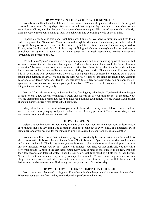#### **HOW WE WIN THE GAMES WITH MINUTES**

Nobody is wholly satisfied with himself. Our lives are made up of lights and shadows, of some good days and many unsatisfactory days. We have learned that the good days and hours come when we are very close to Christ, and that the poor days come whenever we push Him out of our thoughts. Clearly, then, the way to more consistent high level is to take Him into everything we do or say or think.

Experience has told us that good resolutions aren't enough. We need to discipline our lives to an ordered regime. The "Game with Minutes" is a rather lighthearted name for such a regime in the realm of the spirit. Many of us have found it to be enormously helpful. It is a new name for something as old as Enoch, who "walked with God." It is a way of living which nearly everybody knows and nearly everybody has ignored. Students will at once recognize it as fresh approach to Brother Lawrence's "Practicing the Presence of God."

We call this a "game" because it is a delightful experience and an exhilarating spiritual exercise; but we soon discover that it is far more than a game. Perhaps a better name for it would be "an exploratory expedition," because it opens out into what seems at first like a beautiful garden; then the garden widens into a country; and at last we realize that we are exploring a new world. This may sound like poetry, but it is not overstating what experience has shown us. Some people have compared it to getting out of a dark prison and beginning to LIVE. We still see the same world, yet it is not the same, for it has a new glorious color and a far deeper meaning. Thank God, this adventure is free for everybody, rich or poor, wise or ignorant, famous or unknown, with a good past or a bad—"Whosoever will, may come." The greatest thing in the world is for everybody!

You will find this just as easy and just as hard as forming any other habit. You have hitherto thought of God for only a few seconds or minutes a week, and He was out of your mind the rest of the time. Now you are attempting, like Brother Lawrence, to have God in mind each minute you are awake. Such drastic change in habit requires a real effort at the beginning.

Many of us find it very useful to have pictures of Christ where our eyes will fall on them every time we look around. A very happy hobby is to collect the most friendly pictures of Christ, pocket size, so that we can erect our own shrine in a few seconds.

# **HOW TO BEGIN**

Select a favorable hour; try how many minutes of the hour you can remember God at least ONCE each minute; that is to say, bring God to mind at least one second out of every sixty. It is not necessary to remember God every second, for the mind runs along like a rapid stream from one idea to another.

Your score will be low at first, but keep trying, for it constantly becomes easier, and after a while is almost automatic. It follows the well known laws of habit forming. If you try to write shorthand you are at first very awkward. This is true when you are learning to play a piano, or to ride a bicycle, or to use any new muscles. When you try this "game with minutes" you discover that spiritually you are still a very weak infant. A babe in the crib seizes upon every thing at hand to pull himself to his feet, wobbles for a few seconds and falls exhausted. Then he tries again, each time standing a little longer than before. We are like that babe when we begin to try to keep God in mind. We need something to which we can cling. Our minds wobble and fall, then rise for a new effort. Each time we try we shall do better until at last we may be able to remember God as high as ninety per cent of the whole day.

## **HOW TO TRY THE EXPERIMENT IN CHURCH**

You have a good chance of starting well if you begin in church—provided the sermon is about God. When our congregation first tried it, we distributed slips of paper which read: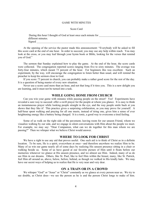#### GAME WITH MINUTES

Score Card

During this hour I thought of God at least once each minute for different minutes. Signed

At the opening of the service the pastor made this announcement: "Everybody will be asked to fill this score card at the end of one hour. In order to succeed, you may use any help within reach. You may look at the cross, or you may leaf through your hymn book or Bible, looking for the verses that remind you of God."

The sermon that Sunday explained how to play the game. At the end of the hour, the score cards were collected. The congregation reported scores ranging from five to sixty minutes. The average was forty-four minutes, which meant 73 percent of the hour. For beginners this was excellent. Such an experiment, by the way, will encourage the congregation to listen better than usual, and will remind the preacher to keep his sermon close to God.

If you score *75* percent in church, you can probably make a rather good score for the rest of the day. It is a question of being master of every new situation.

Never use a score card more than an hour, and not that long if it tires you. This is a new delight you are learning, and it must not be turned into a task.

#### **WHILE GOING HOME FROM CHURCH**

Can you win your game with minutes while passing people on the street? Yes! Experiments have revealed a sure way to succeed: offer a swift prayer for the people at whom you glance. It is easy to think an instantaneous prayer while looking people straight in the eye, and the way people smile back at you shows that they like it! This practice gives a surprising exhilaration, as you may prove for yourself. A half-hour spent walking and praying for all one meets, instead of tiring one, gives him a sense of ever heightening energy like a battery being charged. It is a tonic, a good way to overcome a tired feeling.

Some of us walk on the right side of the pavement, leaving room for our unseen Friend, whom we visualize walking by our side, and we engage in silent conversations with Him about the people we meet. For example, we may say: "Dear Companion, what can we do together for this man whom we are passing?" Then we whisper what we believe Christ would answer.

#### **WHERE TO LOOK FOR CHRIST**

We have a right to use any aid that proves useful. One such aid is to think of Christ as in a definite location. To be sure, He is a spirit, everywhere at once—and therefore anywhere we realize Him to be. Many of us win our game nearly all of some days by realizing His unseen presence sitting in a chair or walking beside us. Some of us have gazed at our favorite picture of Him until it floats before our memories whenever we glance at His unseen presence, and we almost see Him. Indeed, many of us do see Him in our dreams. Others, like St. Paul, like to feel Him within the breast; many, like St. Patrick, feel Him all around us, above, below, before, behind, as though we walked in His kindly halo. We may have our secret ways of helping us to realize that He is very near and very dear.

# **ON A TRAIN OR IN A CROWD**

We whisper "God" or "Jesus" or "Christ" constantly as we glance at every person near us. We try to see double, as Christ does—we see the person as he is and the person Christ longs to make of him.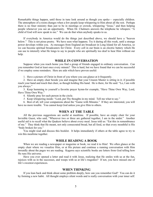Remarkable things happen, until those in tune look around as though you spoke— especially children. The atmosphere of a room changes when a few people keep whispering to Him about all the rest. Perhaps there is no finer ministry than just to be in meetings or crowds, whispering "Jesus," and then helping people whenever you see an opportunity. When Dr. Chalmers answers the telephone he whispers: "A child of God will now speak to me." We can do that when anybody speaks to us.

If everybody in America would do the things just described above, we should have a "heaven below." This is not pious poetry. We have seen what happens. Try it during all this week, until a strange power develops within you. As messages from England are broadcast in Long Island for all America, so we can become spiritual broadcasters for Christ. Every cell in our brain is an electric battery which He can use to intensify what He longs to say to people who are spiritually too deaf to hear Him without our help.

# **WHILE IN CONVERSATION**

Suppose when you reach home you find a group of friends engaged in ordinary conversation. Can you remember God at least once every minute? This is hard, but we have found that we can be successful if we employ some reminders. Here are aids which have proven useful:

1. Have a picture of Christ in front of you where you can glance at it frequently.

2. Have an empty chair beside you and imagine that your Unseen Master is sitting in it; if possible reach your hand and touch that chair, as though holding His hand. He is there, for He said: "Lo, I am with you always."

3. Keep humming to yourself a favorite prayer hymn-for example, "Have Thine Own Way, Lord, Have Thine Own Way."

4. Silently pray for each person in the circle.

*5.* Keep whispering inside: "Lord, put Thy thoughts in my mind. Tell me what to say."

6. Best of all, tell your companions about the "Game with Minutes." If they are interested, you will have no more trouble. You cannot keep God unless you give Him to others.

# **WHEN AT THE TABLE**

All the previous suggestions are useful at mealtime. If possible, have an empty chair for your Invisible Guest, who said, "Wherever two or three are gathered together, I am in the midst." Another useful aid is to recall what the Quakers believe about every meal. Jesus told us: "Eat this in remembrance of me." They think that He meant, not only consecrated bread, but all food, so that every mouthful is His "body broken for you."

You might read and discuss this booklet. It helps immediately if others at the table agree to try to win this mealtime together.

#### **WHILE READING A BOOK**

When we are reading a newspaper or magazine or book, we read it to Him! We often glance at the empty chair where we visualize Him, or at His picture and continue a running conversation with Him inwardly about the pages we are reading. Kagawa says scientific books are letters from God telling how He runs His universe.

Have you ever opened a letter and read it with Jesus, realizing that He smiles with us at the fun, rejoices with us in the successes, and weeps with us at life's tragedies? If not, you have missed one of life's sweetest experiences.

# **WHEN THINKING**

If you lean back and think about some problem deeply, how can you remember God? You can do it by forming a new habit. All thought employs silent words and is really conversation with your inner self.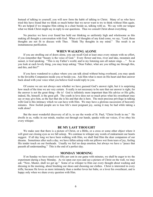Instead of talking to yourself, you will now form the habit of talking to Christ. Many of us who have tried this have found that we think so much better that we never want to try to think without Him again. We are helped if we imagine Him sitting in a chair beside us, talking with us. We say with our tongue what we think Christ might say in reply to our questions. Thus we consult Christ about everything.

No practice we have ever found has held our thinking so uniformly high and wholesome as this making all thought a conversation with God. When evil thoughts of any kind come, we say, "Lord, these thoughts are not fit to discuss with Thee. Think Thy thoughts in my mind." The result is an instantaneous purification.

#### **WHEN WALKING ALONE**

If you are strolling out of doors alone, you can recall God at least once every minute with no effort, if you remember that "beauty is the voice of God." Every flower and tree, river and lake, mountain and sunset, is God speaking. "This is my Father's world, and to my listening ears all nature sings ..." So as you look at each lovely thing, you may keep asking: "Dear Father, what are you telling me through this, and this, and this?"

If you have wandered to a place where you can talk aloud without being overheard, you may speak to the Invisible Companion inside you or beside you. Ask Him what is most on His heart and then answer back aloud with your voice what you believe God would reply to you.

Of course we are not always sure whether we have guessed God's answer right, but it is surprising how much of the time we are very certain. It really is not necessary to be sure that our answer is right, for the answer is not the great thing—He is! God is infinitely more important than His advice or His gifts; indeed, He, himself, is the great gift. The youth in love does not so much prize what his sweetheart may say or may give him, as the fact that she is his and that she is here. The most precious privilege in talking with God is this intimacy which we can have with Him. We may have a glorious succession of heavenly minutes. How foolish people are to lose life's most poignant joy, seeing it may be had while taking a walk alone!

But the most wonderful discovery of all is, to use the words of St. Paul, "Christ liveth in me." He dwells in us, walks in our minds, reaches out through our hands, speaks with our voices, if we obey his every whisper.

# **BE MY LAST THOUGHT**

We make sure that there is a picture of Christ, or a Bible, or a cross or some other object where it will greet our closing eyes as we fall asleep. We continue to whisper any words of endearment our hearts suggest. If all day long we have been walking with Him, we shall find Him the dear companion of our dreams. Sometimes after such a day, we have fallen asleep with our pillows wet from tears of joy, feeling His tender touch on our foreheads. Usually we feel no deep emotion, but always we have a "peace that passeth all understanding." This is the end of a perfect day.

## **MONDAY MORNING**

If on Sunday we have rated over fifty per cent in our game with minutes, we shall be eager to try the experiment during a busy Monday. As we open our eyes and see a picture of Christ on the wall, we may ask: "Now, Master, shall we get up." Some of us whisper to Him our every thought about washing and dressing in the morning, about brushing our shoes and choosing our clothes. Christ is interested in every trifle, because He loves us more intimately than a mother loves her babe, or a lover his sweetheart, and is happy only when we share every question with Him.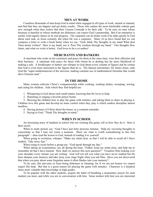## **MEN AT WORK**

Countless thousands of men keep God in mind while engaged in all types of work, mental or manual, and find that they are happier and get better results. Those who endure the most intolerable ordeals gain new strength when they realize that their Unseen Comrade is by their side. To be sure, no man whose business is harmful or whose methods are dishonest, can expect God's partnership. But if an enterprise is useful, God eagerly shares in its real progress. The carpenter can do better work if he talks quietly to God about each task, as Jesus certainly did when He was a carpenter. Many of us have found that we can compose a letter or write a book better when we say: "God, think Thy thoughts in my mind What dost Thou desire written? Here is my hand; use it. Pour Thy wisdom through my hand." Our thoughts flow faster, and what we write is better. God loves to be a co-author!

# **MERCHANTS AND BANKERS**

A merchant who waits on his customers and prays for them at the same time, wins their affection and their business. A salesman who prays for those with whom he is dealing has far more likelihood of making a sale. A bookkeeper or banker can whisper to God about every column of figures and be certain that God is even more interested in the figures than he is. The famous astronomer, Sir James Jeans, calls God the "super-mathematician of the universe, making constant use of mathematical formulae that would drive Einstein mad."

#### **IN THE HOME**

Many women cultivate Christ's companionship while cooking, washing dishes, sweeping, sewing, and caring for children. Aids which they find helpful are:

1. Whispering to God about each small matter, knowing that He loves to help.

2. Humming or singing a favorite prayer hymn.

3. Showing the children how to play the game with minutes, and asking them to share in playing it. Children love this game and develop an inner control when they play it which renders discipline almost needless.

4. Having pictures of Christ about the house, as a constant reminder.

5. Saying to God, "Think Thy thoughts in mind."

# **WHEN IN SCHOOL**

An increasing army of students in school who are winning this game, tell us how they do it. Here is their secret:

When in study period, say: "God I have just forty precious minutes. Help my wavering thoughts to concentrate so that I may not waste a moment. Show me what is worth remembering in this first paragraph"—then read the lesson to God, instead of reading it to yourself.

When going to recitation, whisper: "Make my mind clear, so that I will be able to recall all I Have studied. Take away fear."

When rising to recite before a group say: "God speak through my lips."

When taking an examination, say all during the hour, "Father, keep my mind clear, and help me to remember all that I have learned. How shall we answer this next question?" Visualize Him looking over your shoulder every minute you are writing. God will not tell you what you have never studied but He does sharpen your memory and take away your stage fright when you ask Him. Have you not discovered that when you pray about some forgotten name it often flashes into your memory?

To be sure, this prevents us from being dishonest or cheating, for if we are not honest we cannot expect His help. But that is a good reason for playing the game with minutes. Character is a hundred times more valuable than knowledge or high grades.

To be popular with the other students, acquire the habit of breathing a momentary prayer for each student you meet, and while you are in conversation with him. Some instinct tells him you are interested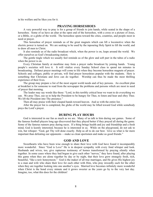in his welfare and he likes you for it.

# **PRAYING HORSESHOES**

A very powerful way to pray is for a group of friends to join hands, while seated in the shape of a horseshoe. Some of us have an altar at the open end of the horseshoe, with a cross or a picture of Jesus, or a Bible, or a globe of the world. The horseshoe opens toward the cities, countries, and people most in need or prayer.

This horseshoe of prayer reminds us of the great magnets which can lift a locomotive when the electric power is turned on. We are seeking to be used by the inpouring Holy Spirit to lift the world, and to draw all men to Christ.

It also reminds us of the radio broadcast which, when the power is on, leaps around the world. We offer ourselves as God's broadcasting station.

The gentle tingle which we usually feel reminds us of the glow and soft purr in the tubes of a radio when the power is on.

Every Christian family at mealtime may form a prayer radio broadcast by joining hands. Young people's societies will love it. It will vitalize every Sunday School class to spend ten minutes in broadcasting. Defunct prayer meetings will come to life when they become horseshoe magnets of prayer. Schools and colleges, public or private, will find prayer horseshoes popular with the students. Here is something that Christians and Jews can do together. Worship can thus be made the most thrilling experience of their lives.

The group may prepare a list of the most urgent world needs and of key persons. An excellent plan at breakfast is for someone to read from the newspaper the problems and persons which are most in need of prayer that morning.

The leader may say words like these: "Lord, in this terribly critical hour we want to do everything we can. We pray Thee, use us to help the President to be hungry for Thee, to listen and hear and obey Thee. We lift the President into Thy presence."

Then all may praise with their clasped hands toward heaven. And so with the entire list.

After the prayer list is completed, the globe of the world may be lifted toward God while somebody prays the Lord's prayer.

# **DURING PLAY HOURS**

God is interested in our fun as much as we are. Many of us talk to him during our games. Some of the famous football players long ago discovered that they played better if they prayed all during the game. Some of the famous runners pray during races. If a thing brings health and joy and friendship and a fresh mind, God is keenly interested, because he is interested in us. While on the playground, do not ask to win, but whisper: "God, get Thy will done exactly. Help us all to do our best. Give us what is far more important than defeating our opponents —make us clean sportsmen and make us good friends."

#### **GOD AND LOVE**

Sweethearts who have been wise enough to share their love with God have found it incomparably more wonderful. Since "God is Love" He is in deepest sympathy with every fond whisper and look. Husbands and wives, too, give rapturous testimony of homes transformed by praying silently when together. In some cases where they had begun to give each other "nerves," they have found, after playing this game when they are alone together by day or by night, that their love grew strangely fresh, rich, beautiful, "like a new honeymoon." God is the maker of all true marriages, and He gives His highest joy to a man and wife who share their love for each other with Him, who pray inwardly each for the other when they are together looking into one another's eyes. Married love becomes infinitely more wonderful when Christ is the bond every minute and it grows sweeter as the years go by to the very last day. Imagine, too, what this does for the children!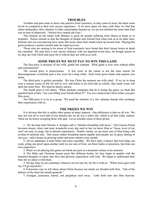#### **TROUBLES**

Troubles and pain come to those who practice God's presence, as they came to Jesus, but these seem trivial as compared to their new joyous experience. If we have spent our days with Him, we find that when earthquakes, fires, famines or other catastrophes threaten us, we are not terrified any more than Paul was in time of shipwreck. "Perfect love casteth out Fear."

This booklet on the Game with Minutes is good for people suffering from illness at home or in hospitals. Nurses remind us that the thoughts of people turn toward God when sick as at no other time. Patients who are convalescing have many idle hours when their minds reach up toward God. Playing this game produces a perfect mental state for rapid recovery.

Those who are seeking to be aware of God constantly have found that their former horror at death has vanished. We may have a new mystic intimacy with our departed loved ones, for though unseen to us, they are with Christ and since He is with us they are with us as well.

# **SOME PRICES WE MUST PAY TO WIN THIS GAME**

The first price is pressure of our wills, gentle but constant. What game is ever won without effort and concentration?

The second price is perseverance. A low score at the outset is not the least reason for discouragement; everybody gets a low score for a long while. Each week grows better and requires less strain.

The third price is perfect surrender. We lose Christ the moment our wills rebel. If we try to keep even a remote corner of life for self or evil, and refuse to let God rule us wholly, that small worm will spoil the entire fruit. We must be utterly sincere.

The fourth price is tell others. When anybody complains that he is losing the game, we flash this question back at him: "Are you telling your friends about it?" For you cannot keep Christ unless you give Him away.

The fifth price is to be in a group. We need the stimulus of a few intimate friends who exchange their experiences with us.

#### **THE PRIZES WE WIN**

It is obvious that this is unlike other games in many respects. One difference is that we all win. We may not win all or even half of our minutes but we do win a richer life, which is all that really matters. There are no losers excepting those who quit. Let us consider some of those prizes:

1. We develop what Thomas A. Kempis calls a "familiar friendship with Jesus." Our Unseen Friend becomes dearer, closer and more wonderful every day until at last we know Him as "Jesus, lover of my soul" not only in songs, but in blissful experiences. Doubts vanish, we are more sure of Him being with us than of anybody else. This warm, ardent friendship ripens rapidly until people see its glory shining in our eyes—and it keeps on growing richer and more radiant every month.

2. All we undertake is done better and more smoothly. We have daily evidence that God helps our work, piling one proof upon another until we are sure of God, not from books or preachers, but from our own experience.

3. When we are playing this game our minds are pure as a mountain stream every moment.

4. The Bible and Christian hymns seem like different books, for they begin to sparkle with the beautiful thoughts of saints who have had glorious experiences with God. We begin to understand their bliss for we share it with them.

*5.* All day long we are contented, whatever our lot may be, for He is with us. "When Jesus goes with me, I'll go anywhere."

6. It becomes easy to tell others about Christ because our minds are flooded with Him. "Out of the fullness of the heart the mouth speaketh."

7. Grudges, jealousies, hatred, and prejudices melt away. Little hells turn into little heavens.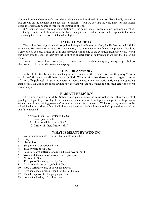Communities have been transformed where this game was introduced. Love rises like a kindly sea and at last drowns all the demons of malice and selfishness. Then we see that the only hope for this insane world is to persuade people to "practice the presence of God."

8. "Genius is ninety per cent concentration." This game, like all concentration upon one objective, eventually results in flashes of new brilliant thought which astonish us, and keep us tiptoe with expectancy for the next vision which God will give us.

#### **INFINITE VARIETY**

The notion that religion is dull, stupid and sleepy is abhorrent to God, for He has created infinite variety and He loves to surprise us. If you are weary of some sleepy form of devotion, probably God is as weary of it as you are. Shake out of it, and approach Him in one of the countless fresh directions. When our minds lose the edge of their zest, let us shift to another form of fellowship as we turn the dial of the radio.

Every tree, every cloud, every bird, every orchestra, every child, every city, every soap bubble is alive with God to those who know his language.

#### **IT IS FOR ANYBODY**

Humble folk often believe that walking with God is above their heads, or that they may "lose a good time" if they share all their joys with God. What tragic misunderstanding, to regard Him as a killer of happiness! A growing chorus of joyous voices round the world fairly sing that spending their hours with God is the most thrilling joy ever known, and that beside it a baseball game or a horse race is stupid.

#### **RADIANT RELIGION**

This game is not a grim duty. Nobody need play it unless he seeks richer life. It is a delightful privilege. If you forget to play it for minutes or hours or days, do not groan or repent, but begin anew with a smile. It is a thrilling joy—don't turn it into a sour faced penance. With God, every minute can be a fresh beginning. Ahead of you lie limitless anticipations. Walt Whitman looked up into the starry skies and fairly shouted.

"Away, 0 Soul, hoist instantly the Sail!

O daring joy but safe!

Are they not all the seas of God?

0 farther, farther, farther sail!"

# **WHAT IS MEANT BY WINNING**

You win your minute if, during that minute you either:

- 1. Pray.
- 2. Recall God.
- 3. Sing or hum a devotional hymn.
- 4. Talk or write about God.
- *5.* Seek to relieve suffering of any kind in a prayerful sprit.
- 6. Work with the consciousness of God's presence.
- 7. Whisper to God.
- 8. Feel yourself encompassed by God.
- *9.* Look at a picture or a symbol of Christ.
- 10. Read a scripture verse or poem about God.
- 11. Give somebody a helping hand for the Lord's sake.
- 12. Breathe a prayer for the people you meet.
- 13. Follow the leading of the Inner Voice,